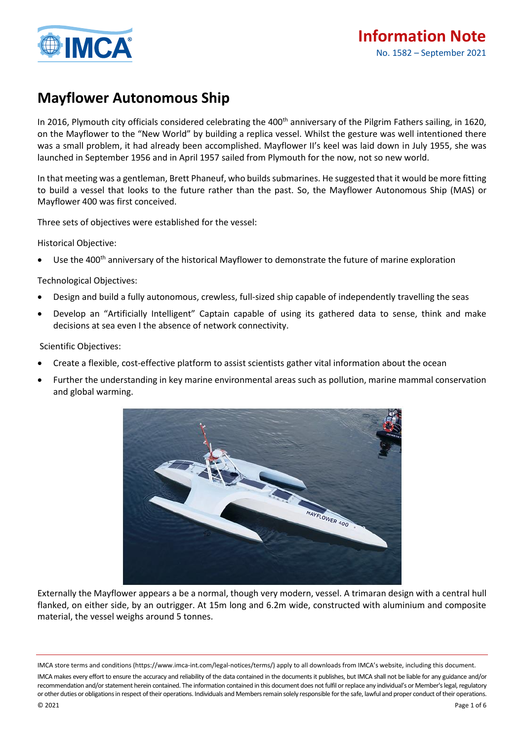

## **Mayflower Autonomous Ship**

In 2016, Plymouth city officials considered celebrating the 400<sup>th</sup> anniversary of the Pilgrim Fathers sailing, in 1620, on the Mayflower to the "New World" by building a replica vessel. Whilst the gesture was well intentioned there was a small problem, it had already been accomplished. Mayflower II's keel was laid down in July 1955, she was launched in September 1956 and in April 1957 sailed from Plymouth for the now, not so new world.

In that meeting was a gentleman, Brett Phaneuf, who builds submarines. He suggested that it would be more fitting to build a vessel that looks to the future rather than the past. So, the Mayflower Autonomous Ship (MAS) or Mayflower 400 was first conceived.

Three sets of objectives were established for the vessel:

Historical Objective:

Use the 400<sup>th</sup> anniversary of the historical Mayflower to demonstrate the future of marine exploration

### Technological Objectives:

- Design and build a fully autonomous, crewless, full-sized ship capable of independently travelling the seas
- Develop an "Artificially Intelligent" Captain capable of using its gathered data to sense, think and make decisions at sea even I the absence of network connectivity.

Scientific Objectives:

- Create a flexible, cost-effective platform to assist scientists gather vital information about the ocean
- Further the understanding in key marine environmental areas such as pollution, marine mammal conservation and global warming.



Externally the Mayflower appears a be a normal, though very modern, vessel. A trimaran design with a central hull flanked, on either side, by an outrigger. At 15m long and 6.2m wide, constructed with aluminium and composite material, the vessel weighs around 5 tonnes.

IMCA store terms and conditions (https://www.imca-int.com/legal-notices/terms/) apply to all downloads from IMCA's website, including this document.

IMCA makes every effort to ensure the accuracy and reliability of the data contained in the documents it publishes, but IMCA shall not be liable for any guidance and/or recommendation and/or statement herein contained. The information contained in this document does not fulfil or replace any individual's or Member's legal, regulatory or other duties or obligations in respect of their operations. Individuals and Members remain solely responsible for the safe, lawful and proper conduct of their operations.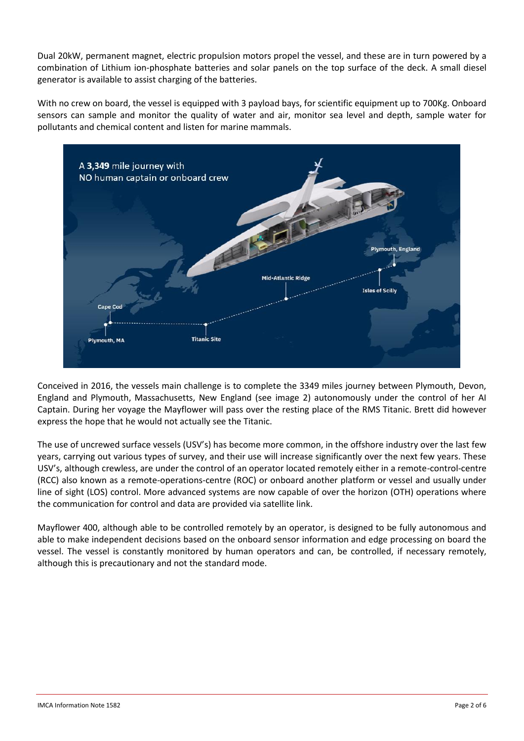Dual 20kW, permanent magnet, electric propulsion motors propel the vessel, and these are in turn powered by a combination of Lithium ion-phosphate batteries and solar panels on the top surface of the deck. A small diesel generator is available to assist charging of the batteries.

With no crew on board, the vessel is equipped with 3 payload bays, for scientific equipment up to 700Kg. Onboard sensors can sample and monitor the quality of water and air, monitor sea level and depth, sample water for pollutants and chemical content and listen for marine mammals.



Conceived in 2016, the vessels main challenge is to complete the 3349 miles journey between Plymouth, Devon, England and Plymouth, Massachusetts, New England (see image 2) autonomously under the control of her AI Captain. During her voyage the Mayflower will pass over the resting place of the RMS Titanic. Brett did however express the hope that he would not actually see the Titanic.

The use of uncrewed surface vessels (USV's) has become more common, in the offshore industry over the last few years, carrying out various types of survey, and their use will increase significantly over the next few years. These USV's, although crewless, are under the control of an operator located remotely either in a remote-control-centre (RCC) also known as a remote-operations-centre (ROC) or onboard another platform or vessel and usually under line of sight (LOS) control. More advanced systems are now capable of over the horizon (OTH) operations where the communication for control and data are provided via satellite link.

Mayflower 400, although able to be controlled remotely by an operator, is designed to be fully autonomous and able to make independent decisions based on the onboard sensor information and edge processing on board the vessel. The vessel is constantly monitored by human operators and can, be controlled, if necessary remotely, although this is precautionary and not the standard mode.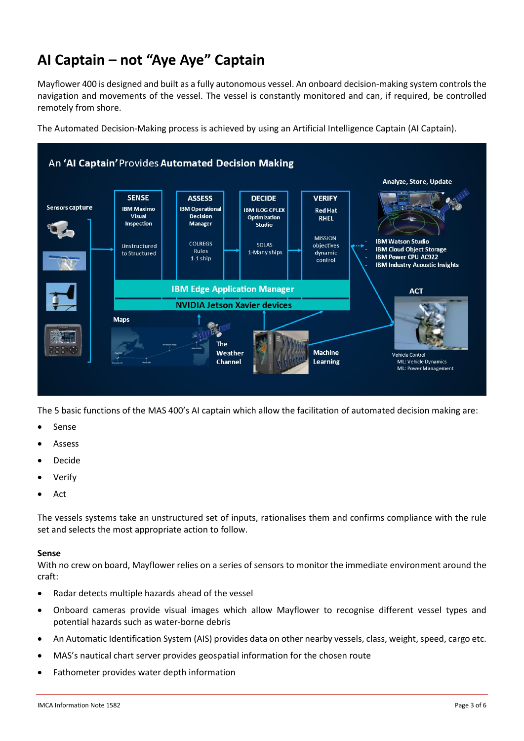# **AI Captain – not "Aye Aye" Captain**

Mayflower 400 is designed and built as a fully autonomous vessel. An onboard decision-making system controlsthe navigation and movements of the vessel. The vessel is constantly monitored and can, if required, be controlled remotely from shore.

The Automated Decision-Making process is achieved by using an Artificial Intelligence Captain (AI Captain).



The 5 basic functions of the MAS 400's AI captain which allow the facilitation of automated decision making are:

- **Sense**
- Assess
- Decide
- **Verify**
- Act

The vessels systems take an unstructured set of inputs, rationalises them and confirms compliance with the rule set and selects the most appropriate action to follow.

#### **Sense**

With no crew on board, Mayflower relies on a series of sensors to monitor the immediate environment around the craft:

- Radar detects multiple hazards ahead of the vessel
- Onboard cameras provide visual images which allow Mayflower to recognise different vessel types and potential hazards such as water-borne debris
- An Automatic Identification System (AIS) provides data on other nearby vessels, class, weight, speed, cargo etc.
- MAS's nautical chart server provides geospatial information for the chosen route
- Fathometer provides water depth information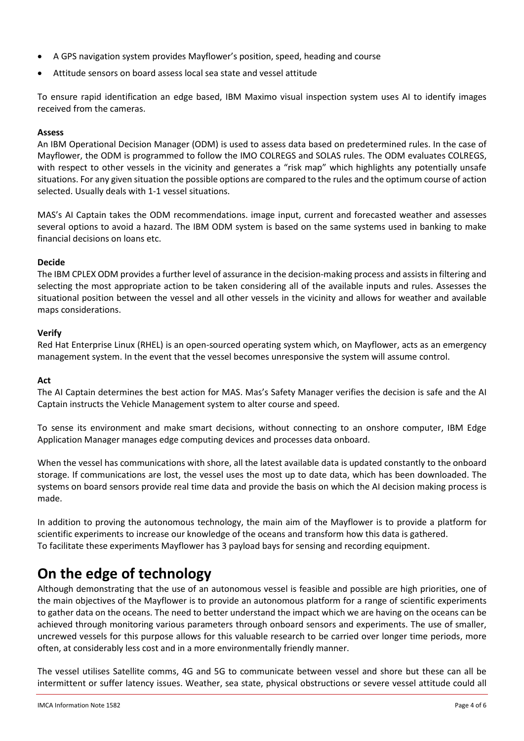- A GPS navigation system provides Mayflower's position, speed, heading and course
- Attitude sensors on board assess local sea state and vessel attitude

To ensure rapid identification an edge based, IBM Maximo visual inspection system uses AI to identify images received from the cameras.

#### **Assess**

An IBM Operational Decision Manager (ODM) is used to assess data based on predetermined rules. In the case of Mayflower, the ODM is programmed to follow the IMO COLREGS and SOLAS rules. The ODM evaluates COLREGS, with respect to other vessels in the vicinity and generates a "risk map" which highlights any potentially unsafe situations. For any given situation the possible options are compared to the rules and the optimum course of action selected. Usually deals with 1-1 vessel situations.

MAS's AI Captain takes the ODM recommendations. image input, current and forecasted weather and assesses several options to avoid a hazard. The IBM ODM system is based on the same systems used in banking to make financial decisions on loans etc.

#### **Decide**

The IBM CPLEX ODM provides a further level of assurance in the decision-making process and assists in filtering and selecting the most appropriate action to be taken considering all of the available inputs and rules. Assesses the situational position between the vessel and all other vessels in the vicinity and allows for weather and available maps considerations.

### **Verify**

Red Hat Enterprise Linux (RHEL) is an open-sourced operating system which, on Mayflower, acts as an emergency management system. In the event that the vessel becomes unresponsive the system will assume control.

#### **Act**

The AI Captain determines the best action for MAS. Mas's Safety Manager verifies the decision is safe and the AI Captain instructs the Vehicle Management system to alter course and speed.

To sense its environment and make smart decisions, without connecting to an onshore computer, IBM Edge Application Manager manages edge computing devices and processes data onboard.

When the vessel has communications with shore, all the latest available data is updated constantly to the onboard storage. If communications are lost, the vessel uses the most up to date data, which has been downloaded. The systems on board sensors provide real time data and provide the basis on which the AI decision making process is made.

In addition to proving the autonomous technology, the main aim of the Mayflower is to provide a platform for scientific experiments to increase our knowledge of the oceans and transform how this data is gathered. To facilitate these experiments Mayflower has 3 payload bays for sensing and recording equipment.

## **On the edge of technology**

Although demonstrating that the use of an autonomous vessel is feasible and possible are high priorities, one of the main objectives of the Mayflower is to provide an autonomous platform for a range of scientific experiments to gather data on the oceans. The need to better understand the impact which we are having on the oceans can be achieved through monitoring various parameters through onboard sensors and experiments. The use of smaller, uncrewed vessels for this purpose allows for this valuable research to be carried over longer time periods, more often, at considerably less cost and in a more environmentally friendly manner.

The vessel utilises Satellite comms, 4G and 5G to communicate between vessel and shore but these can all be intermittent or suffer latency issues. Weather, sea state, physical obstructions or severe vessel attitude could all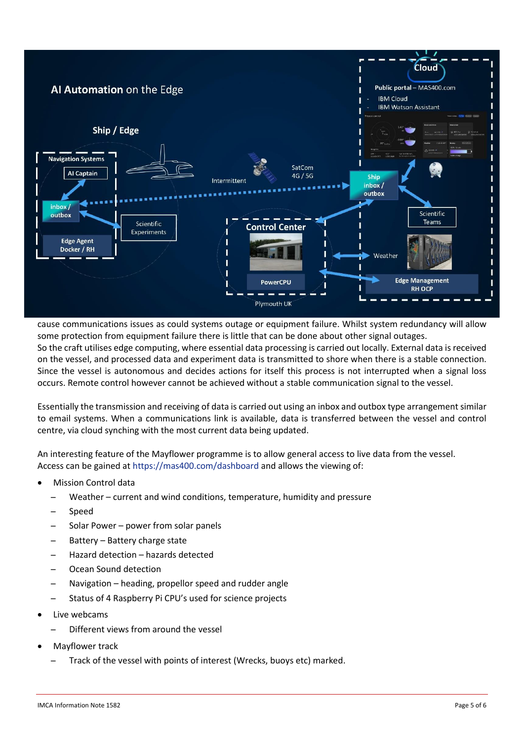

cause communications issues as could systems outage or equipment failure. Whilst system redundancy will allow some protection from equipment failure there is little that can be done about other signal outages. So the craft utilises edge computing, where essential data processing is carried out locally. External data is received on the vessel, and processed data and experiment data is transmitted to shore when there is a stable connection. Since the vessel is autonomous and decides actions for itself this process is not interrupted when a signal loss occurs. Remote control however cannot be achieved without a stable communication signal to the vessel.

Essentially the transmission and receiving of data is carried out using an inbox and outbox type arrangement similar to email systems. When a communications link is available, data is transferred between the vessel and control centre, via cloud synching with the most current data being updated.

An interesting feature of the Mayflower programme is to allow general access to live data from the vessel. Access can be gained a[t https://mas400.com/dashboard](https://mas400.com/dashboard) and allows the viewing of:

- Mission Control data
	- ̶ Weather current and wind conditions, temperature, humidity and pressure
	- **Speed**
	- ̶ Solar Power power from solar panels
	- Battery Battery charge state
	- ̶ Hazard detection hazards detected
	- ̶ Ocean Sound detection
	- ̶ Navigation heading, propellor speed and rudder angle
	- ̶ Status of 4 Raspberry Pi CPU's used for science projects
- Live webcams
	- ̶ Different views from around the vessel
- Mayflower track
	- ̶ Track of the vessel with points of interest (Wrecks, buoys etc) marked.